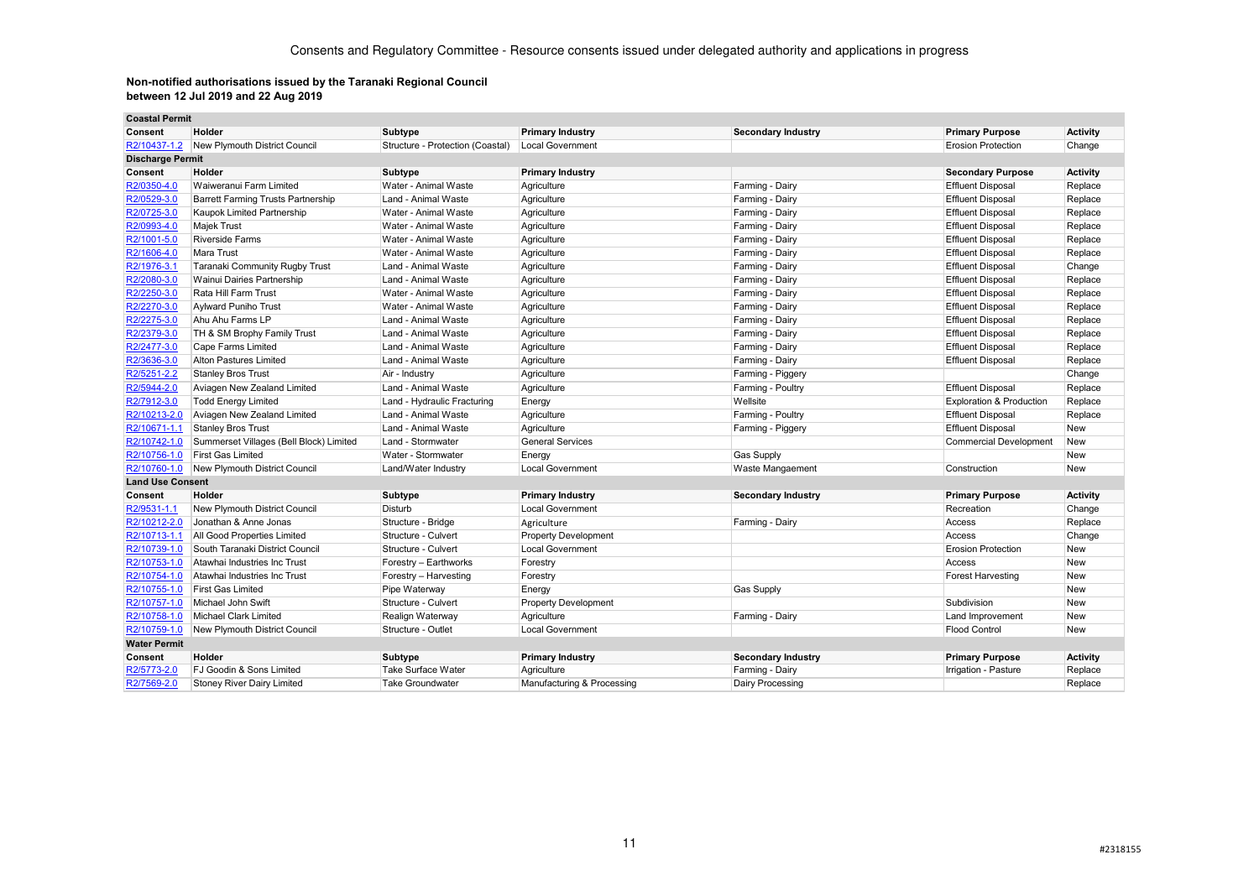| <b>Coastal Permit</b>   |                                           |                                  |                             |                           |                                     |                 |
|-------------------------|-------------------------------------------|----------------------------------|-----------------------------|---------------------------|-------------------------------------|-----------------|
| Consent                 | Holder                                    | <b>Subtype</b>                   | <b>Primary Industry</b>     | <b>Secondary Industry</b> | <b>Primary Purpose</b>              | <b>Activity</b> |
| R2/10437-1.2            | New Plymouth District Council             | Structure - Protection (Coastal) | Local Government            |                           | <b>Erosion Protection</b>           | Change          |
| <b>Discharge Permit</b> |                                           |                                  |                             |                           |                                     |                 |
| Consent                 | Holder                                    | <b>Subtype</b>                   | <b>Primary Industry</b>     |                           | <b>Secondary Purpose</b>            | <b>Activity</b> |
| R2/0350-4.0             | Waiweranui Farm Limited                   | Water - Animal Waste             | Agriculture                 | Farming - Dairy           | <b>Effluent Disposal</b>            | Replace         |
| R2/0529-3.0             | <b>Barrett Farming Trusts Partnership</b> | Land - Animal Waste              | Agriculture                 | Farming - Dairy           | <b>Effluent Disposal</b>            | Replace         |
| R2/0725-3.0             | Kaupok Limited Partnership                | Water - Animal Waste             | Agriculture                 | Farming - Dairy           | <b>Effluent Disposal</b>            | Replace         |
| R2/0993-4.0             | <b>Majek Trust</b>                        | Water - Animal Waste             | Agriculture                 | Farming - Dairy           | <b>Effluent Disposal</b>            | Replace         |
| R2/1001-5.0             | <b>Riverside Farms</b>                    | Water - Animal Waste             | Agriculture                 | Farming - Dairy           | <b>Effluent Disposal</b>            | Replace         |
| R2/1606-4.0             | Mara Trust                                | Water - Animal Waste             | Agriculture                 | Farming - Dairy           | <b>Effluent Disposal</b>            | Replace         |
| R2/1976-3.1             | Taranaki Community Rugby Trust            | Land - Animal Waste              | Agriculture                 | Farming - Dairy           | <b>Effluent Disposal</b>            | Change          |
| R2/2080-3.0             | Wainui Dairies Partnership                | Land - Animal Waste              | Agriculture                 | Farming - Dairy           | <b>Effluent Disposal</b>            | Replace         |
| R2/2250-3.0             | Rata Hill Farm Trust                      | Water - Animal Waste             | Agriculture                 | Farming - Dairy           | <b>Effluent Disposal</b>            | Replace         |
| R2/2270-3.0             | <b>Aylward Puniho Trust</b>               | Water - Animal Waste             | Agriculture                 | Farming - Dairy           | <b>Effluent Disposal</b>            | Replace         |
| R2/2275-3.0             | Ahu Ahu Farms LP                          | Land - Animal Waste              | Agriculture                 | Farming - Dairy           | <b>Effluent Disposal</b>            | Replace         |
| R2/2379-3.0             | TH & SM Brophy Family Trust               | Land - Animal Waste              | Agriculture                 | Farming - Dairy           | <b>Effluent Disposal</b>            | Replace         |
| R2/2477-3.0             | Cape Farms Limited                        | Land - Animal Waste              | Agriculture                 | Farming - Dairy           | <b>Effluent Disposal</b>            | Replace         |
| R2/3636-3.0             | Alton Pastures Limited                    | Land - Animal Waste              | Agriculture                 | Farming - Dairy           | <b>Effluent Disposal</b>            | Replace         |
| R2/5251-2.2             | <b>Stanley Bros Trust</b>                 | Air - Industry                   | Agriculture                 | Farming - Piggery         |                                     | Change          |
| R2/5944-2.0             | Aviagen New Zealand Limited               | Land - Animal Waste              | Agriculture                 | Farming - Poultry         | <b>Effluent Disposal</b>            | Replace         |
| R2/7912-3.0             | <b>Todd Energy Limited</b>                | Land - Hydraulic Fracturing      | Energy                      | Wellsite                  | <b>Exploration &amp; Production</b> | Replace         |
| R2/10213-2.0            | Aviagen New Zealand Limited               | Land - Animal Waste              | Agriculture                 | Farming - Poultry         | <b>Effluent Disposal</b>            | Replace         |
| R2/10671-1.1            | <b>Stanley Bros Trust</b>                 | Land - Animal Waste              | Agriculture                 | Farming - Piggery         | <b>Effluent Disposal</b>            | <b>New</b>      |
| R2/10742-1.0            | Summerset Villages (Bell Block) Limited   | Land - Stormwater                | <b>General Services</b>     |                           | <b>Commercial Development</b>       | New             |
| R2/10756-1.0            | <b>First Gas Limited</b>                  | Water - Stormwater               | Energy                      | Gas Supply                |                                     | New             |
| R2/10760-1.0            | New Plymouth District Council             | Land/Water Industry              | <b>Local Government</b>     | Waste Mangaement          | Construction                        | New             |
| <b>Land Use Consent</b> |                                           |                                  |                             |                           |                                     |                 |
| Consent                 | Holder                                    | <b>Subtype</b>                   | <b>Primary Industry</b>     | <b>Secondary Industry</b> | <b>Primary Purpose</b>              | Activity        |
| R2/9531-1.1             | <b>New Plymouth District Council</b>      | Disturb                          | <b>Local Government</b>     |                           | Recreation                          | Change          |
| R2/10212-2.0            | Jonathan & Anne Jonas                     | Structure - Bridge               | Agriculture                 | Farming - Dairy           | Access                              | Replace         |
| R2/10713-1.1            | All Good Properties Limited               | Structure - Culvert              | <b>Property Development</b> |                           | Access                              | Change          |
| R2/10739-1.0            | South Taranaki District Council           | Structure - Culvert              | Local Government            |                           | <b>Erosion Protection</b>           | New             |
| R2/10753-1.0            | Atawhai Industries Inc Trust              | Forestry - Earthworks            | Forestry                    |                           | Access                              | New             |
| R2/10754-1.0            | Atawhai Industries Inc Trust              | Forestry - Harvesting            | Forestry                    |                           | Forest Harvesting                   | <b>New</b>      |
| R2/10755-1.0            | <b>First Gas Limited</b>                  | Pipe Waterway                    | Energy                      | Gas Supply                |                                     | <b>New</b>      |
| R2/10757-1.0            | Michael John Swift                        | Structure - Culvert              | <b>Property Development</b> |                           | Subdivision                         | New             |
| R2/10758-1.0            | <b>Michael Clark Limited</b>              | Realign Waterway                 | Agriculture                 | Farming - Dairy           | Land Improvement                    | <b>New</b>      |
| R2/10759-1.0            | <b>New Plymouth District Council</b>      | Structure - Outlet               | <b>Local Government</b>     |                           | <b>Flood Control</b>                | New             |
| <b>Water Permit</b>     |                                           |                                  |                             |                           |                                     |                 |
| Consent                 | Holder                                    | <b>Subtype</b>                   | <b>Primary Industry</b>     | <b>Secondary Industry</b> | <b>Primary Purpose</b>              | <b>Activity</b> |
| R2/5773-2.0             | FJ Goodin & Sons Limited                  | <b>Take Surface Water</b>        | Agriculture                 | Farming - Dairy           | Irrigation - Pasture                | Replace         |
| R2/7569-2.0             | <b>Stoney River Dairy Limited</b>         | <b>Take Groundwater</b>          | Manufacturing & Processing  | Dairy Processing          |                                     | Replace         |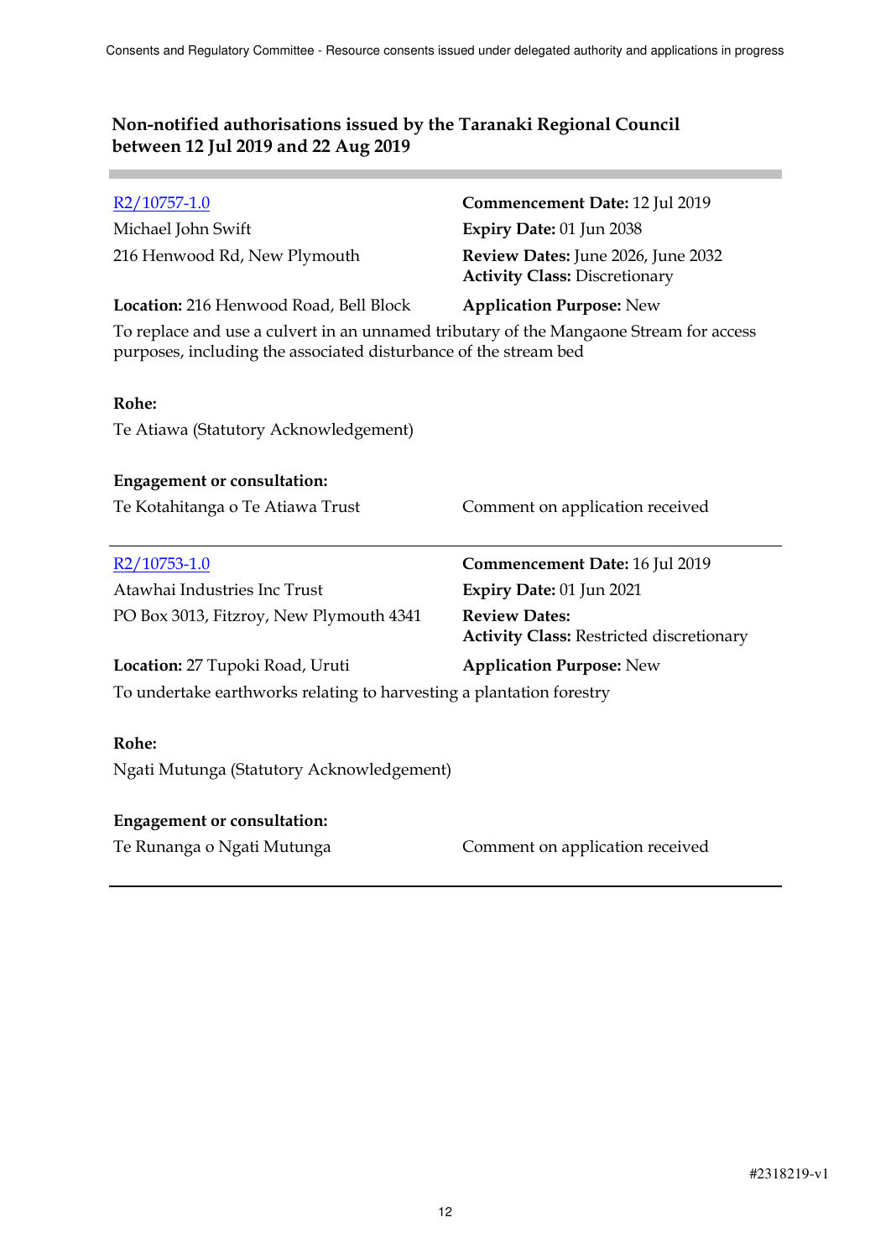**Contract Contract** 

| $R2/10757-1.0$                                                                                                                                             | Commencement Date: 12 Jul 2019                                             |
|------------------------------------------------------------------------------------------------------------------------------------------------------------|----------------------------------------------------------------------------|
| Michael John Swift                                                                                                                                         | Expiry Date: 01 Jun 2038                                                   |
| 216 Henwood Rd, New Plymouth                                                                                                                               | Review Dates: June 2026, June 2032<br><b>Activity Class: Discretionary</b> |
| Location: 216 Henwood Road, Bell Block                                                                                                                     | <b>Application Purpose: New</b>                                            |
| To replace and use a culvert in an unnamed tributary of the Mangaone Stream for access<br>purposes, including the associated disturbance of the stream bed |                                                                            |
| Rohe:                                                                                                                                                      |                                                                            |
| Te Atiawa (Statutory Acknowledgement)                                                                                                                      |                                                                            |
| <b>Engagement or consultation:</b>                                                                                                                         |                                                                            |
| Te Kotahitanga o Te Atiawa Trust                                                                                                                           | Comment on application received                                            |
| R2/10753-1.0                                                                                                                                               | Commencement Date: 16 Jul 2019                                             |
| Atawhai Industries Inc Trust                                                                                                                               | Expiry Date: 01 Jun 2021                                                   |
| PO Box 3013, Fitzroy, New Plymouth 4341                                                                                                                    | <b>Review Dates:</b><br><b>Activity Class: Restricted discretionary</b>    |
| Location: 27 Tupoki Road, Uruti                                                                                                                            | <b>Application Purpose: New</b>                                            |
| To undertake earthworks relating to harvesting a plantation forestry                                                                                       |                                                                            |
| Rohe:                                                                                                                                                      |                                                                            |
| Ngati Mutunga (Statutory Acknowledgement)                                                                                                                  |                                                                            |
| <b>Engagement or consultation:</b>                                                                                                                         |                                                                            |
|                                                                                                                                                            |                                                                            |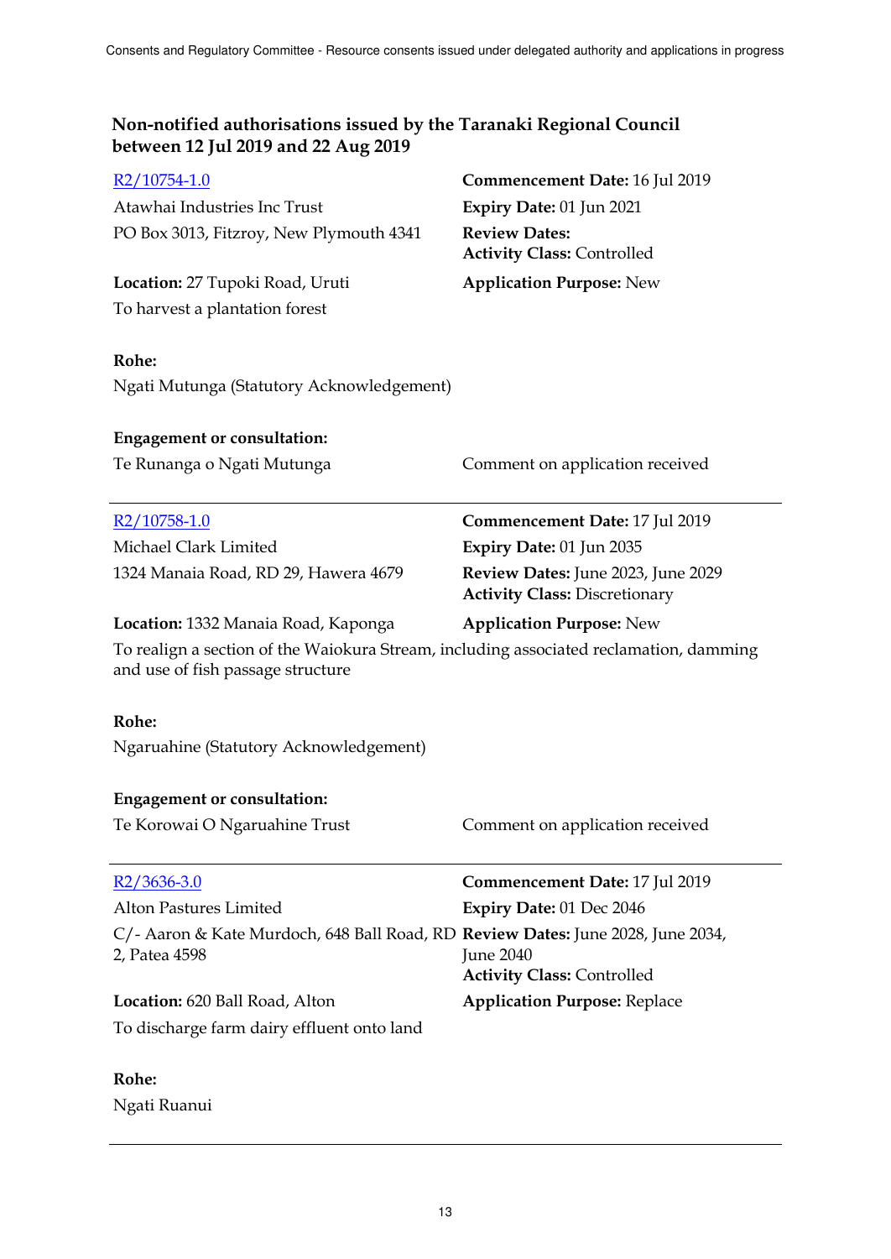| R2/10754-1.0                                                                                                                | Commencement Date: 16 Jul 2019                                             |
|-----------------------------------------------------------------------------------------------------------------------------|----------------------------------------------------------------------------|
| Atawhai Industries Inc Trust                                                                                                | Expiry Date: 01 Jun 2021                                                   |
| PO Box 3013, Fitzroy, New Plymouth 4341                                                                                     | <b>Review Dates:</b><br><b>Activity Class: Controlled</b>                  |
| Location: 27 Tupoki Road, Uruti                                                                                             | <b>Application Purpose: New</b>                                            |
| To harvest a plantation forest                                                                                              |                                                                            |
|                                                                                                                             |                                                                            |
| Rohe:                                                                                                                       |                                                                            |
| Ngati Mutunga (Statutory Acknowledgement)                                                                                   |                                                                            |
| <b>Engagement or consultation:</b>                                                                                          |                                                                            |
| Te Runanga o Ngati Mutunga                                                                                                  | Comment on application received                                            |
|                                                                                                                             |                                                                            |
| R <sub>2</sub> /10758-1.0                                                                                                   | Commencement Date: 17 Jul 2019                                             |
| Michael Clark Limited                                                                                                       | Expiry Date: 01 Jun 2035                                                   |
| 1324 Manaia Road, RD 29, Hawera 4679                                                                                        | Review Dates: June 2023, June 2029<br><b>Activity Class: Discretionary</b> |
| Location: 1332 Manaia Road, Kaponga                                                                                         | <b>Application Purpose: New</b>                                            |
| To realign a section of the Waiokura Stream, including associated reclamation, damming<br>and use of fish passage structure |                                                                            |
| Rohe:                                                                                                                       |                                                                            |
| Ngaruahine (Statutory Acknowledgement)                                                                                      |                                                                            |
|                                                                                                                             |                                                                            |
| <b>Engagement or consultation:</b>                                                                                          |                                                                            |
| Te Korowai O Ngaruahine Trust                                                                                               | Comment on application received                                            |
| $R2/3636-3.0$                                                                                                               | <b>Commencement Date: 17 Jul 2019</b>                                      |
| <b>Alton Pastures Limited</b>                                                                                               | Expiry Date: 01 Dec 2046                                                   |
| C/- Aaron & Kate Murdoch, 648 Ball Road, RD Review Dates: June 2028, June 2034,                                             |                                                                            |
| 2, Patea 4598                                                                                                               | June 2040                                                                  |
|                                                                                                                             | <b>Activity Class: Controlled</b>                                          |
| <b>Location:</b> 620 Ball Road, Alton                                                                                       | <b>Application Purpose: Replace</b>                                        |
| To discharge farm dairy effluent onto land                                                                                  |                                                                            |
| Rohe:                                                                                                                       |                                                                            |
|                                                                                                                             |                                                                            |

Ngati Ruanui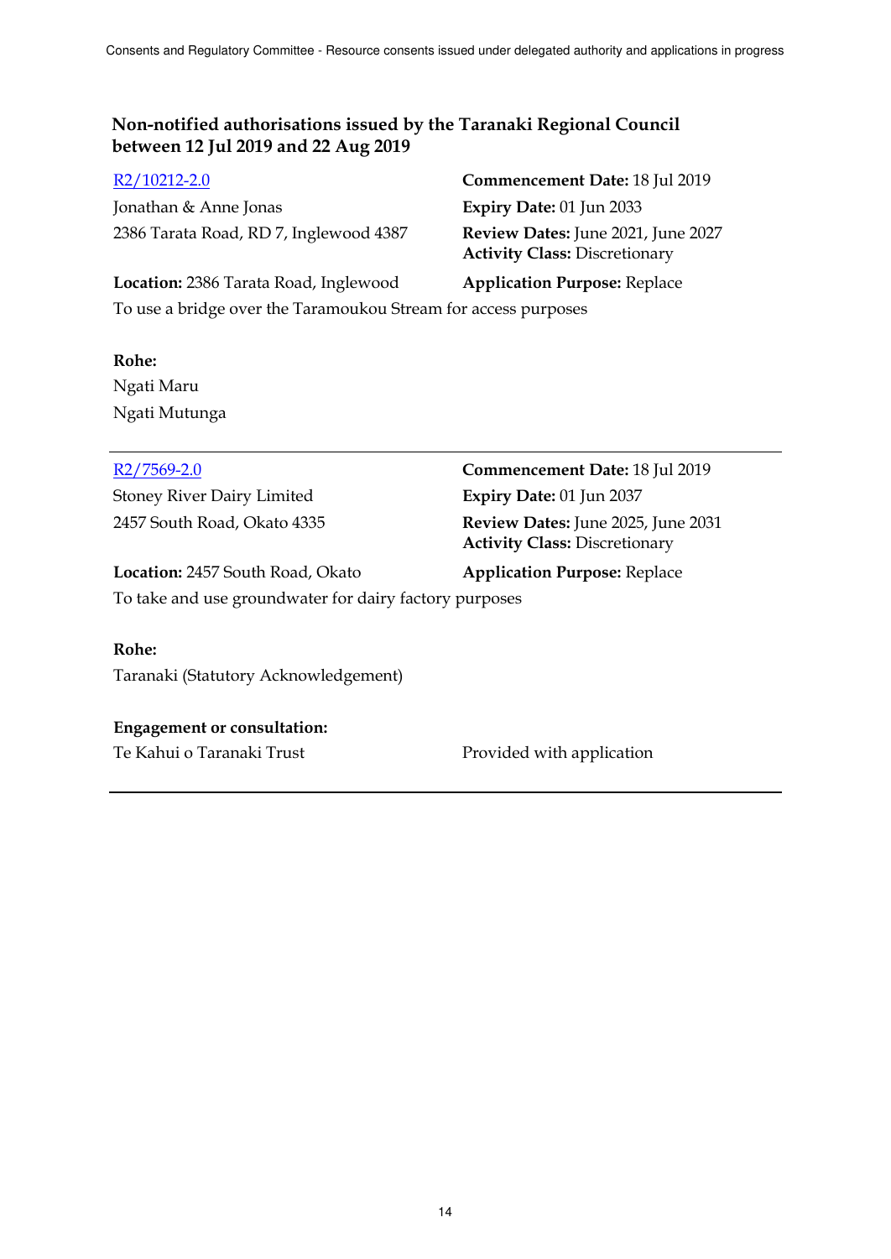Jonathan & Anne Jonas **Expiry Date:** 01 Jun 2033 2386 Tarata Road, RD 7, Inglewood 4387 **Review Dates:** June 2021, June 2027

R2/10212-2.0 **Commencement Date:** 18 Jul 2019 **Activity Class:** Discretionary

## **Location:** 2386 Tarata Road, Inglewood **Application Purpose:** Replace To use a bridge over the Taramoukou Stream for access purposes

## **Rohe:**

Ngati Maru Ngati Mutunga

Stoney River Dairy Limited **Expiry Date:** 01 Jun 2037

**Location:** 2457 South Road, Okato **Application Purpose:** Replace

To take and use groundwater for dairy factory purposes

## **Rohe:**

Taranaki (Statutory Acknowledgement)

## **Engagement or consultation:**

Te Kahui o Taranaki Trust **Provided with application** 

R2/7569-2.0 **Commencement Date:** 18 Jul 2019 2457 South Road, Okato 4335 **Review Dates:** June 2025, June 2031 **Activity Class:** Discretionary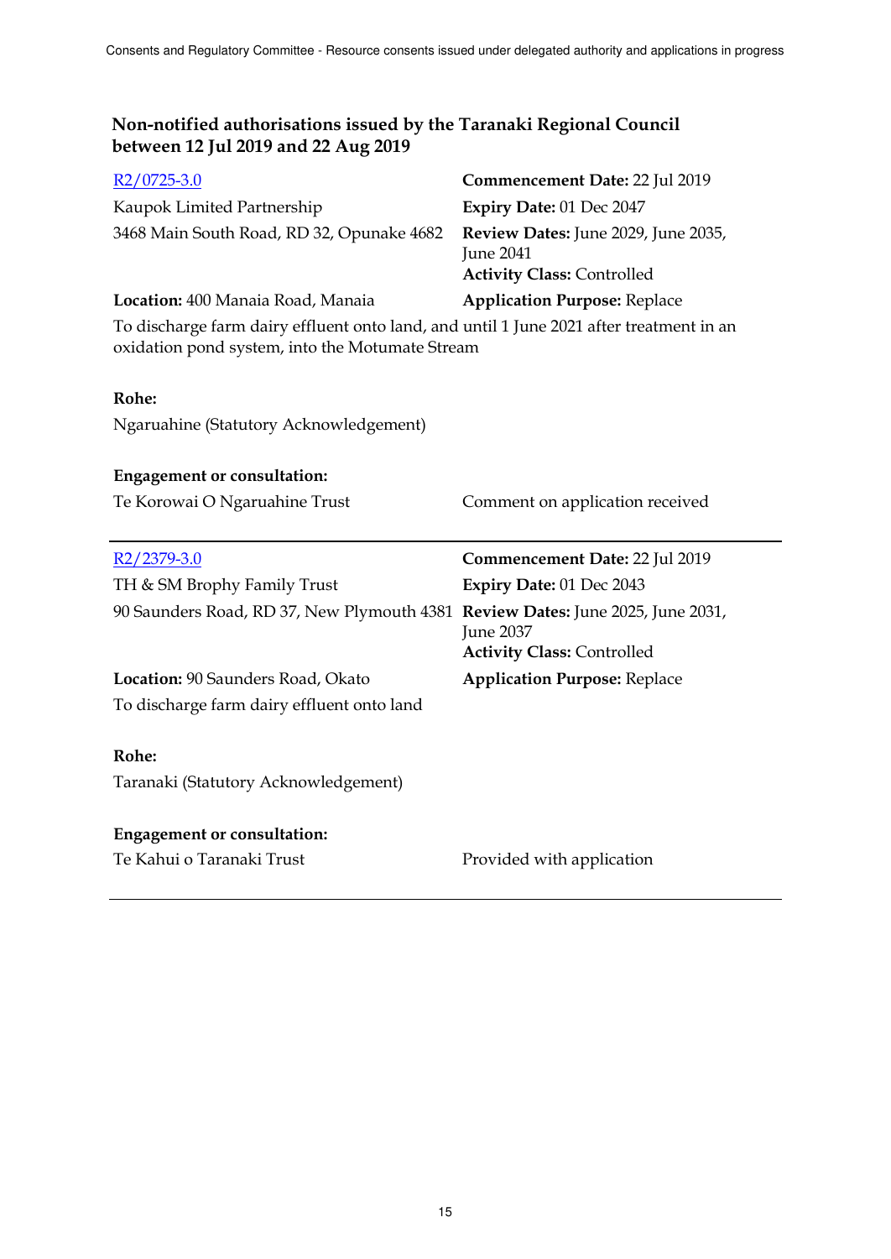| $R2/0725-3.0$                                                                                                                              | Commencement Date: 22 Jul 2019                                                               |
|--------------------------------------------------------------------------------------------------------------------------------------------|----------------------------------------------------------------------------------------------|
| Kaupok Limited Partnership                                                                                                                 | Expiry Date: 01 Dec 2047                                                                     |
| 3468 Main South Road, RD 32, Opunake 4682                                                                                                  | Review Dates: June 2029, June 2035,<br><b>June 2041</b><br><b>Activity Class: Controlled</b> |
| Location: 400 Manaia Road, Manaia                                                                                                          | <b>Application Purpose: Replace</b>                                                          |
| To discharge farm dairy effluent onto land, and until 1 June 2021 after treatment in an<br>oxidation pond system, into the Motumate Stream |                                                                                              |
| Rohe:                                                                                                                                      |                                                                                              |
| Ngaruahine (Statutory Acknowledgement)                                                                                                     |                                                                                              |
| <b>Engagement or consultation:</b>                                                                                                         |                                                                                              |
| Te Korowai O Ngaruahine Trust                                                                                                              | Comment on application received                                                              |
|                                                                                                                                            |                                                                                              |
| R <sub>2</sub> /2379-3.0                                                                                                                   | Commencement Date: 22 Jul 2019                                                               |
| TH & SM Brophy Family Trust                                                                                                                | Expiry Date: 01 Dec 2043                                                                     |
| 90 Saunders Road, RD 37, New Plymouth 4381 Review Dates: June 2025, June 2031,                                                             | <b>June 2037</b>                                                                             |
|                                                                                                                                            | <b>Activity Class: Controlled</b>                                                            |
| Location: 90 Saunders Road, Okato<br>To discharge farm dairy effluent onto land                                                            | <b>Application Purpose: Replace</b>                                                          |
| Rohe:                                                                                                                                      |                                                                                              |
| Taranaki (Statutory Acknowledgement)                                                                                                       |                                                                                              |
| <b>Engagement or consultation:</b>                                                                                                         |                                                                                              |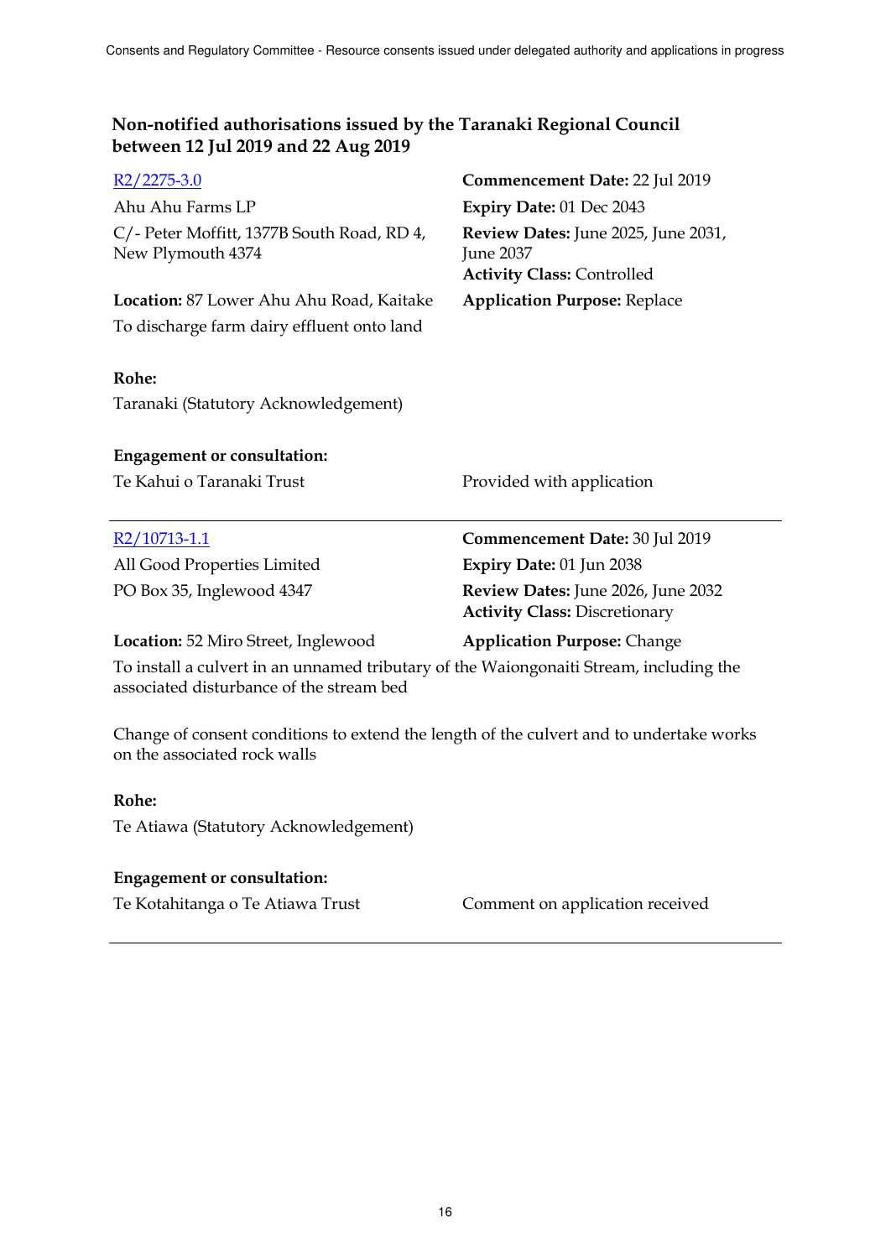| $R2/2275-3.0$                                                   | Commencement Date: 22 Jul 2019                                                        |
|-----------------------------------------------------------------|---------------------------------------------------------------------------------------|
| Ahu Ahu Farms LP                                                | Expiry Date: 01 Dec 2043                                                              |
| C/- Peter Moffitt, 1377B South Road, RD 4,<br>New Plymouth 4374 | Review Dates: June 2025, June 2031,<br>June 2037<br><b>Activity Class: Controlled</b> |
| Location: 87 Lower Ahu Ahu Road, Kaitake                        | <b>Application Purpose: Replace</b>                                                   |
| To discharge farm dairy effluent onto land                      |                                                                                       |
| Rohe:                                                           |                                                                                       |
| Taranaki (Statutory Acknowledgement)                            |                                                                                       |
| <b>Engagement or consultation:</b>                              |                                                                                       |
| Te Kahui o Taranaki Trust                                       | Provided with application                                                             |
|                                                                 |                                                                                       |
| $R2/10713-1.1$                                                  | Commencement Date: 30 Jul 2019                                                        |
| All Good Properties Limited                                     | Expiry Date: 01 Jun 2038                                                              |
| PO Box 35, Inglewood 4347                                       | Review Dates: June 2026, June 2032<br><b>Activity Class: Discretionary</b>            |
| Location: 52 Miro Street, Inglewood                             | <b>Application Purpose: Change</b>                                                    |
|                                                                 |                                                                                       |

Change of consent conditions to extend the length of the culvert and to undertake works on the associated rock walls

## **Rohe:**

Te Atiawa (Statutory Acknowledgement)

#### **Engagement or consultation:**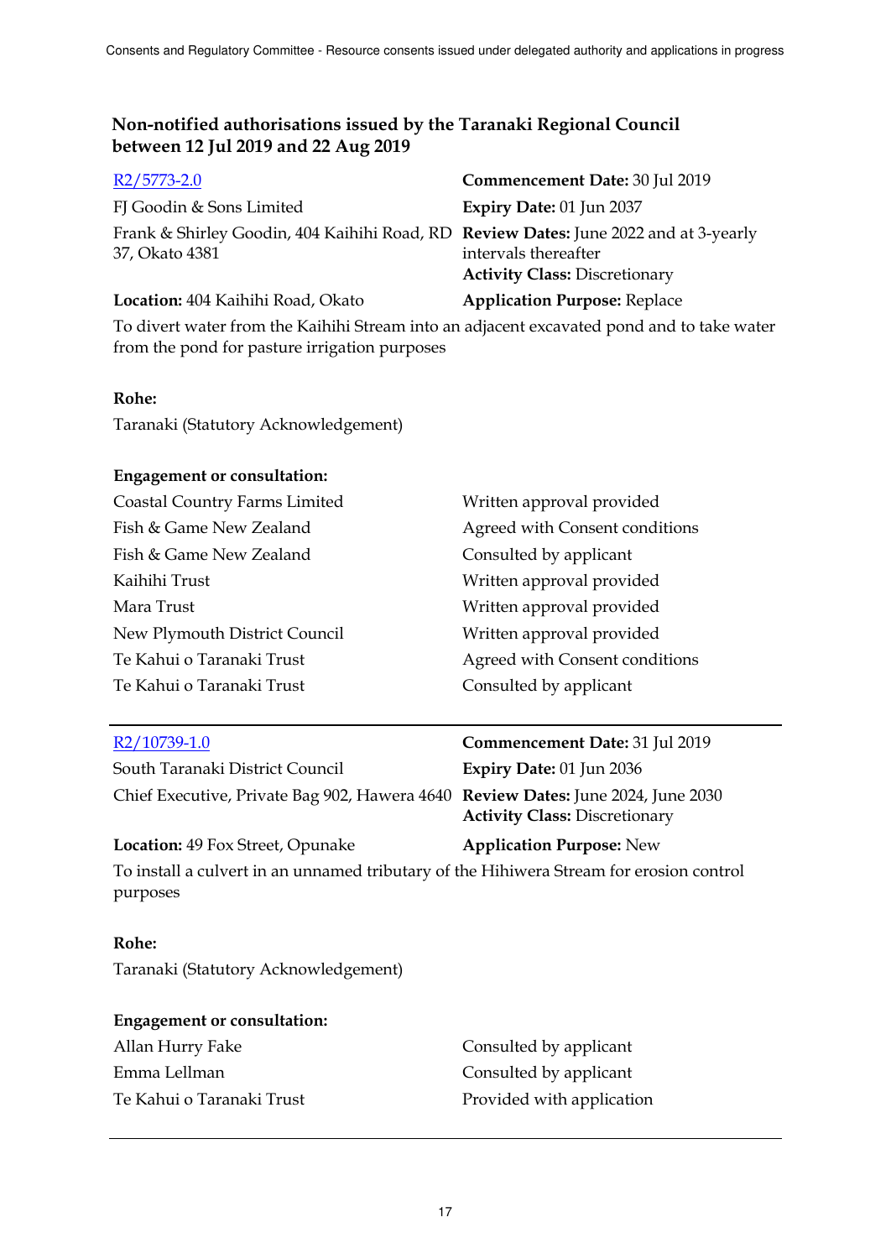| $R2/5773-2.0$                                                                                          | Commencement Date: 30 Jul 2019                               |
|--------------------------------------------------------------------------------------------------------|--------------------------------------------------------------|
| FJ Goodin & Sons Limited                                                                               | Expiry Date: 01 Jun 2037                                     |
| Frank & Shirley Goodin, 404 Kaihihi Road, RD Review Dates: June 2022 and at 3-yearly<br>37, Okato 4381 | intervals thereafter<br><b>Activity Class: Discretionary</b> |
| Location: 404 Kaihihi Road, Okato                                                                      | <b>Application Purpose: Replace</b>                          |

To divert water from the Kaihihi Stream into an adjacent excavated pond and to take water from the pond for pasture irrigation purposes

## **Rohe:**

Taranaki (Statutory Acknowledgement)

#### **Engagement or consultation:**

| Coastal Country Farms Limited | Written approval provided      |
|-------------------------------|--------------------------------|
| Fish & Game New Zealand       | Agreed with Consent conditions |
| Fish & Game New Zealand       | Consulted by applicant         |
| Kaihihi Trust                 | Written approval provided      |
| Mara Trust                    | Written approval provided      |
| New Plymouth District Council | Written approval provided      |
| Te Kahui o Taranaki Trust     | Agreed with Consent conditions |
| Te Kahui o Taranaki Trust     | Consulted by applicant         |
|                               |                                |

| R2/10739-1.0                                                                                        | Commencement Date: 31 Jul 2019       |
|-----------------------------------------------------------------------------------------------------|--------------------------------------|
| South Taranaki District Council                                                                     | Expiry Date: 01 Jun 2036             |
| Chief Executive, Private Bag 902, Hawera 4640 Review Dates: June 2024, June 2030                    | <b>Activity Class: Discretionary</b> |
| <b>Location: 49 Fox Street, Opunake</b>                                                             | <b>Application Purpose: New</b>      |
| To install a culvert in an unnamed tributary of the Hihiwera Stream for erosion control<br>purposes |                                      |

## **Rohe:**

Taranaki (Statutory Acknowledgement)

# **Engagement or consultation:**

| Allan Hurry Fake          | Consulted by applicant    |
|---------------------------|---------------------------|
| Emma Lellman              | Consulted by applicant    |
| Te Kahui o Taranaki Trust | Provided with application |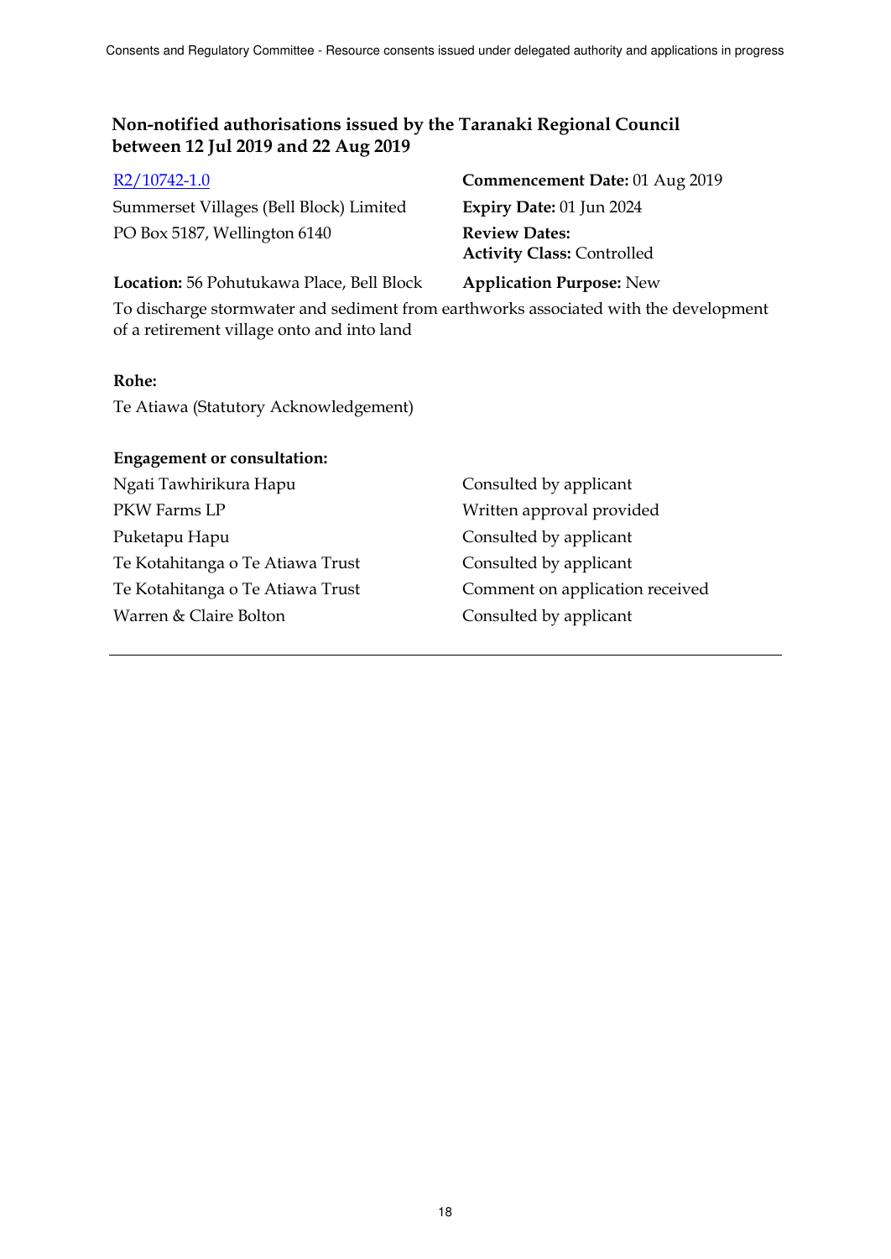Summerset Villages (Bell Block) Limited **Expiry Date:** 01 Jun 2024 PO Box 5187, Wellington 6140 **Review Dates:** 

R2/10742-1.0 **Commencement Date:** 01 Aug 2019 **Activity Class:** Controlled

## **Location:** 56 Pohutukawa Place, Bell Block **Application Purpose:** New

To discharge stormwater and sediment from earthworks associated with the development of a retirement village onto and into land

## **Rohe:**

Te Atiawa (Statutory Acknowledgement)

| <b>Engagement or consultation:</b> |                                 |
|------------------------------------|---------------------------------|
| Ngati Tawhirikura Hapu             | Consulted by applicant          |
| PKW Farms LP                       | Written approval provided       |
| Puketapu Hapu                      | Consulted by applicant          |
| Te Kotahitanga o Te Atiawa Trust   | Consulted by applicant          |
| Te Kotahitanga o Te Atiawa Trust   | Comment on application received |
| Warren & Claire Bolton             | Consulted by applicant          |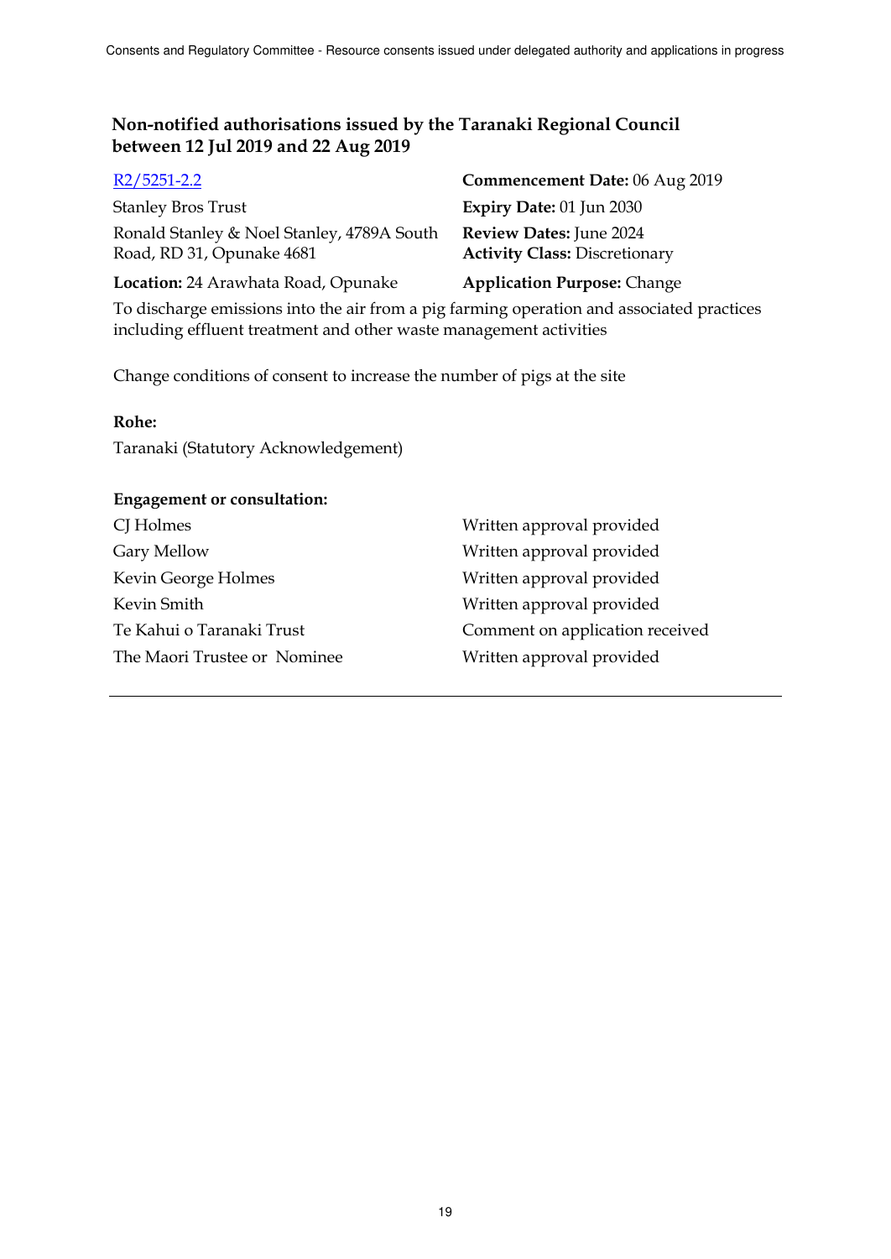| $R2/5251-2.2$                                                           | Commencement Date: 06 Aug 2019                                         |
|-------------------------------------------------------------------------|------------------------------------------------------------------------|
| <b>Stanley Bros Trust</b>                                               | Expiry Date: 01 Jun 2030                                               |
| Ronald Stanley & Noel Stanley, 4789A South<br>Road, RD 31, Opunake 4681 | <b>Review Dates:</b> June 2024<br><b>Activity Class: Discretionary</b> |
| Location: 24 Arawhata Road, Opunake                                     | <b>Application Purpose: Change</b>                                     |

To discharge emissions into the air from a pig farming operation and associated practices including effluent treatment and other waste management activities

Change conditions of consent to increase the number of pigs at the site

#### **Rohe:**

Taranaki (Statutory Acknowledgement)

## **Engagement or consultation:**

| Written approval provided       |
|---------------------------------|
| Written approval provided       |
| Written approval provided       |
| Written approval provided       |
| Comment on application received |
| Written approval provided       |
|                                 |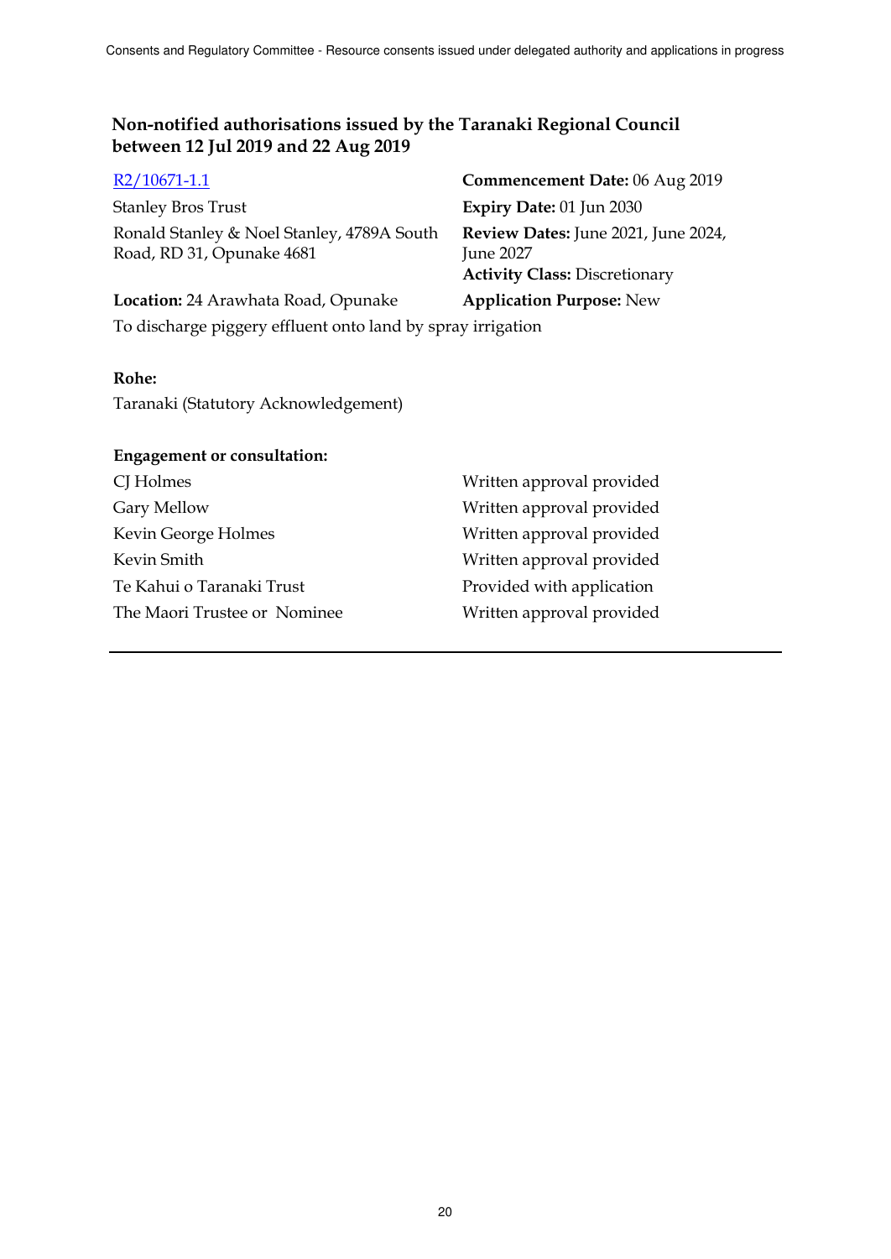Ronald Stanley & Noel Stanley, 4789A South Road, RD 31, Opunake 4681

R2/10671-1.1 **Commencement Date:** 06 Aug 2019 Stanley Bros Trust **Expiry Date:** 01 Jun 2030 **Review Dates:** June 2021, June 2024, June 2027 **Activity Class:** Discretionary **Location:** 24 Arawhata Road, Opunake **Application Purpose:** New

To discharge piggery effluent onto land by spray irrigation

## **Rohe:**

Taranaki (Statutory Acknowledgement)

| <b>Engagement or consultation:</b> |                           |
|------------------------------------|---------------------------|
| CJ Holmes                          | Written approval provided |
| Gary Mellow                        | Written approval provided |
| Kevin George Holmes                | Written approval provided |
| Kevin Smith                        | Written approval provided |
| Te Kahui o Taranaki Trust          | Provided with application |
| The Maori Trustee or Nominee       | Written approval provided |
|                                    |                           |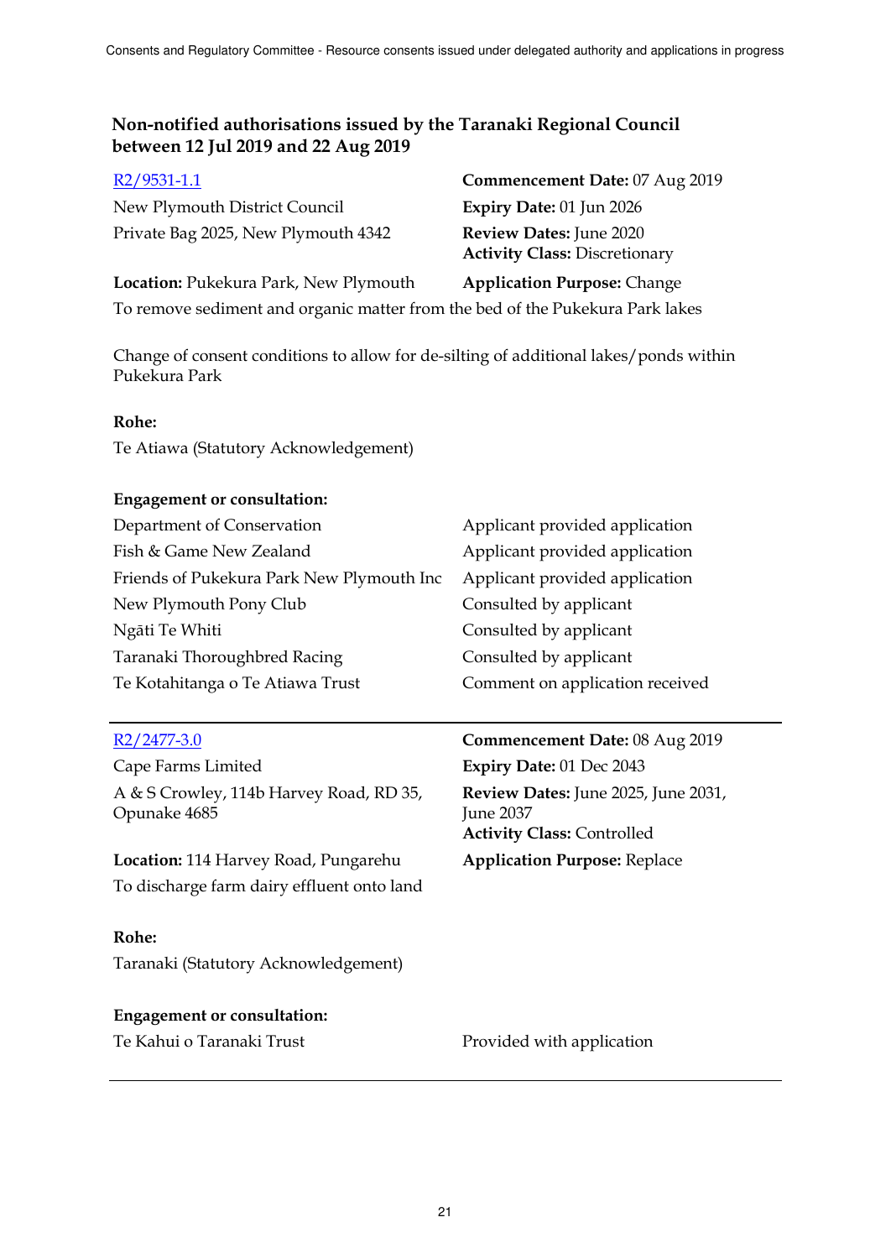| $R2/9531-1.1$                                                                 | Commencement Date: 07 Aug 2019                                  |  |  |
|-------------------------------------------------------------------------------|-----------------------------------------------------------------|--|--|
| New Plymouth District Council                                                 | <b>Expiry Date: 01 Jun 2026</b>                                 |  |  |
| Private Bag 2025, New Plymouth 4342                                           | Review Dates: June 2020<br><b>Activity Class: Discretionary</b> |  |  |
| Location: Pukekura Park, New Plymouth                                         | <b>Application Purpose: Change</b>                              |  |  |
| To remove sediment and organic matter from the bed of the Pukekura Park lakes |                                                                 |  |  |

Change of consent conditions to allow for de-silting of additional lakes/ponds within

Pukekura Park

## **Rohe:**

Te Atiawa (Statutory Acknowledgement)

## **Engagement or consultation:**

| Department of Conservation                | Applicant provided application  |
|-------------------------------------------|---------------------------------|
| Fish & Game New Zealand                   | Applicant provided application  |
| Friends of Pukekura Park New Plymouth Inc | Applicant provided application  |
| New Plymouth Pony Club                    | Consulted by applicant          |
| Ngāti Te Whiti                            | Consulted by applicant          |
| Taranaki Thoroughbred Racing              | Consulted by applicant          |
| Te Kotahitanga o Te Atiawa Trust          | Comment on application received |

Cape Farms Limited **Expiry Date:** 01 Dec 2043 A & S Crowley, 114b Harvey Road, RD 35, Opunake 4685

**Location:** 114 Harvey Road, Pungarehu **Application Purpose:** Replace To discharge farm dairy effluent onto land

## **Rohe:**

Taranaki (Statutory Acknowledgement)

## **Engagement or consultation:**

Te Kahui o Taranaki Trust **Provided with application** 

R2/2477-3.0 **Commencement Date:** 08 Aug 2019 **Review Dates:** June 2025, June 2031, June 2037 **Activity Class:** Controlled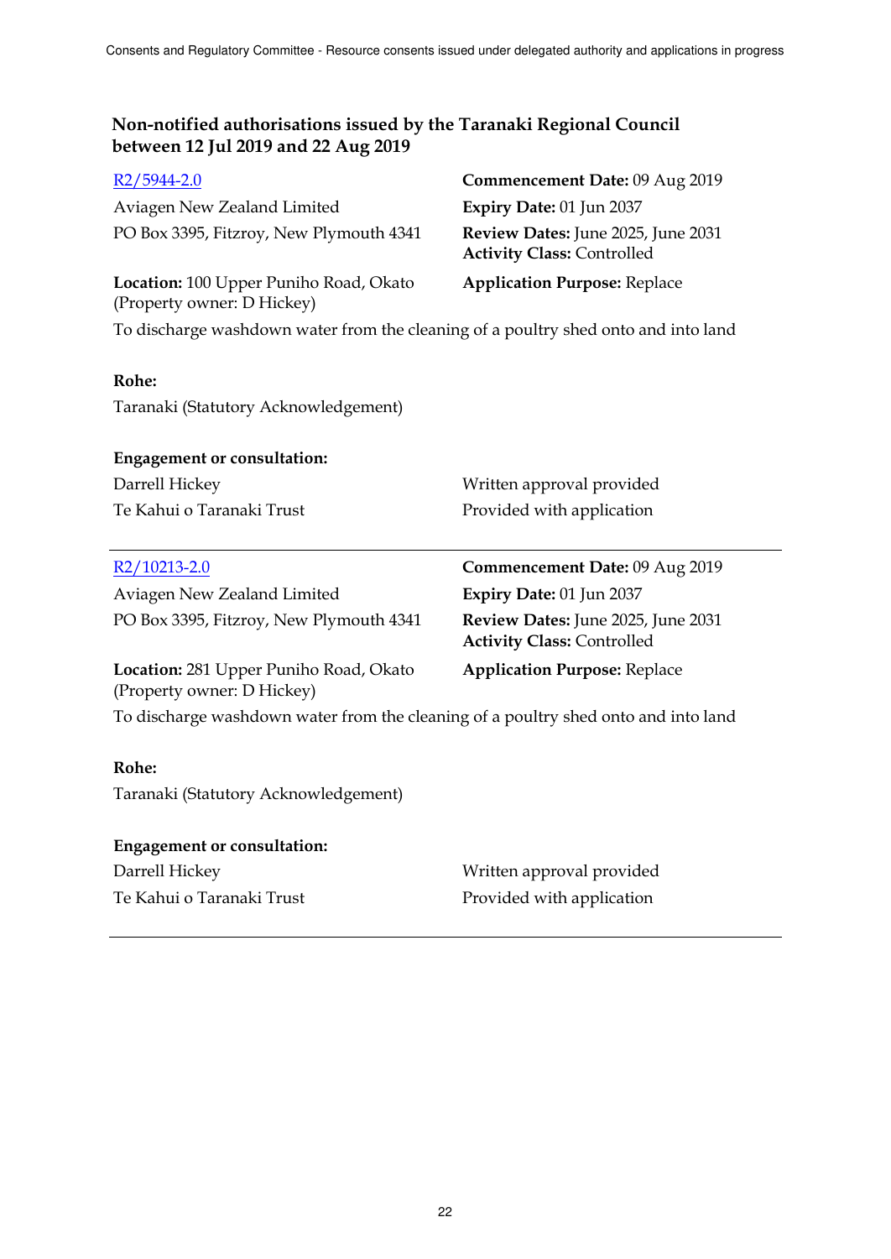| $R2/5944-2.0$                                                                      | Commencement Date: 09 Aug 2019                                          |
|------------------------------------------------------------------------------------|-------------------------------------------------------------------------|
| Aviagen New Zealand Limited                                                        | Expiry Date: 01 Jun 2037                                                |
| PO Box 3395, Fitzroy, New Plymouth 4341                                            | Review Dates: June 2025, June 2031<br><b>Activity Class: Controlled</b> |
| Location: 100 Upper Puniho Road, Okato<br>(Property owner: D Hickey)               | <b>Application Purpose: Replace</b>                                     |
| To discharge washdown water from the cleaning of a poultry shed onto and into land |                                                                         |

## **Rohe:**

Taranaki (Statutory Acknowledgement)

## **Engagement or consultation:**

| Darrell Hickey            | Written approval provided |
|---------------------------|---------------------------|
| Te Kahui o Taranaki Trust | Provided with application |

## R2/10213-2.0 **Commencement Date:** 09 Aug 2019

Aviagen New Zealand Limited **Expiry Date:** 01 Jun 2037 PO Box 3395, Fitzroy, New Plymouth 4341 **Review Dates:** June 2025, June 2031

**Activity Class:** Controlled **Application Purpose:** Replace

**Location:** 281 Upper Puniho Road, Okato (Property owner: D Hickey)

To discharge washdown water from the cleaning of a poultry shed onto and into land

## **Rohe:**

Taranaki (Statutory Acknowledgement)

## **Engagement or consultation:**

Te Kahui o Taranaki Trust **Provided with application** 

Darrell Hickey Written approval provided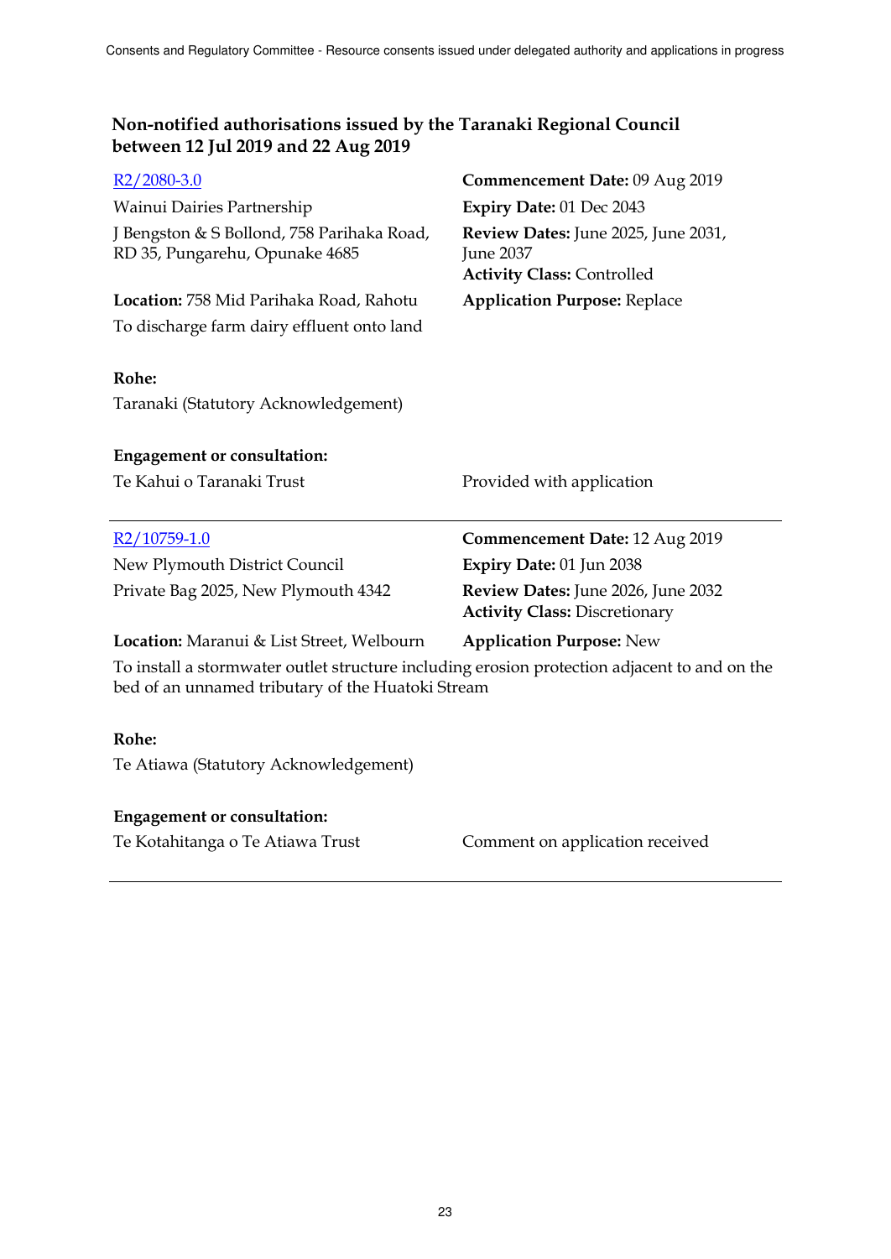| $R2/2080-3.0$                                                                                                                                     | Commencement Date: 09 Aug 2019                                                        |
|---------------------------------------------------------------------------------------------------------------------------------------------------|---------------------------------------------------------------------------------------|
| Wainui Dairies Partnership                                                                                                                        | Expiry Date: 01 Dec 2043                                                              |
| J Bengston & S Bollond, 758 Parihaka Road,<br>RD 35, Pungarehu, Opunake 4685                                                                      | Review Dates: June 2025, June 2031,<br>June 2037<br><b>Activity Class: Controlled</b> |
| Location: 758 Mid Parihaka Road, Rahotu                                                                                                           | <b>Application Purpose: Replace</b>                                                   |
| To discharge farm dairy effluent onto land                                                                                                        |                                                                                       |
| Rohe:                                                                                                                                             |                                                                                       |
| Taranaki (Statutory Acknowledgement)                                                                                                              |                                                                                       |
| <b>Engagement or consultation:</b>                                                                                                                |                                                                                       |
| Te Kahui o Taranaki Trust                                                                                                                         | Provided with application                                                             |
|                                                                                                                                                   |                                                                                       |
| R <sub>2</sub> /10759-1.0                                                                                                                         | <b>Commencement Date: 12 Aug 2019</b>                                                 |
| New Plymouth District Council                                                                                                                     | Expiry Date: 01 Jun 2038                                                              |
| Private Bag 2025, New Plymouth 4342                                                                                                               | Review Dates: June 2026, June 2032<br><b>Activity Class: Discretionary</b>            |
| Location: Maranui & List Street, Welbourn                                                                                                         | <b>Application Purpose: New</b>                                                       |
| To install a stormwater outlet structure including erosion protection adjacent to and on the<br>bed of an unnamed tributary of the Huatoki Stream |                                                                                       |
| Rohe:                                                                                                                                             |                                                                                       |
| Te Atiawa (Statutory Acknowledgement)                                                                                                             |                                                                                       |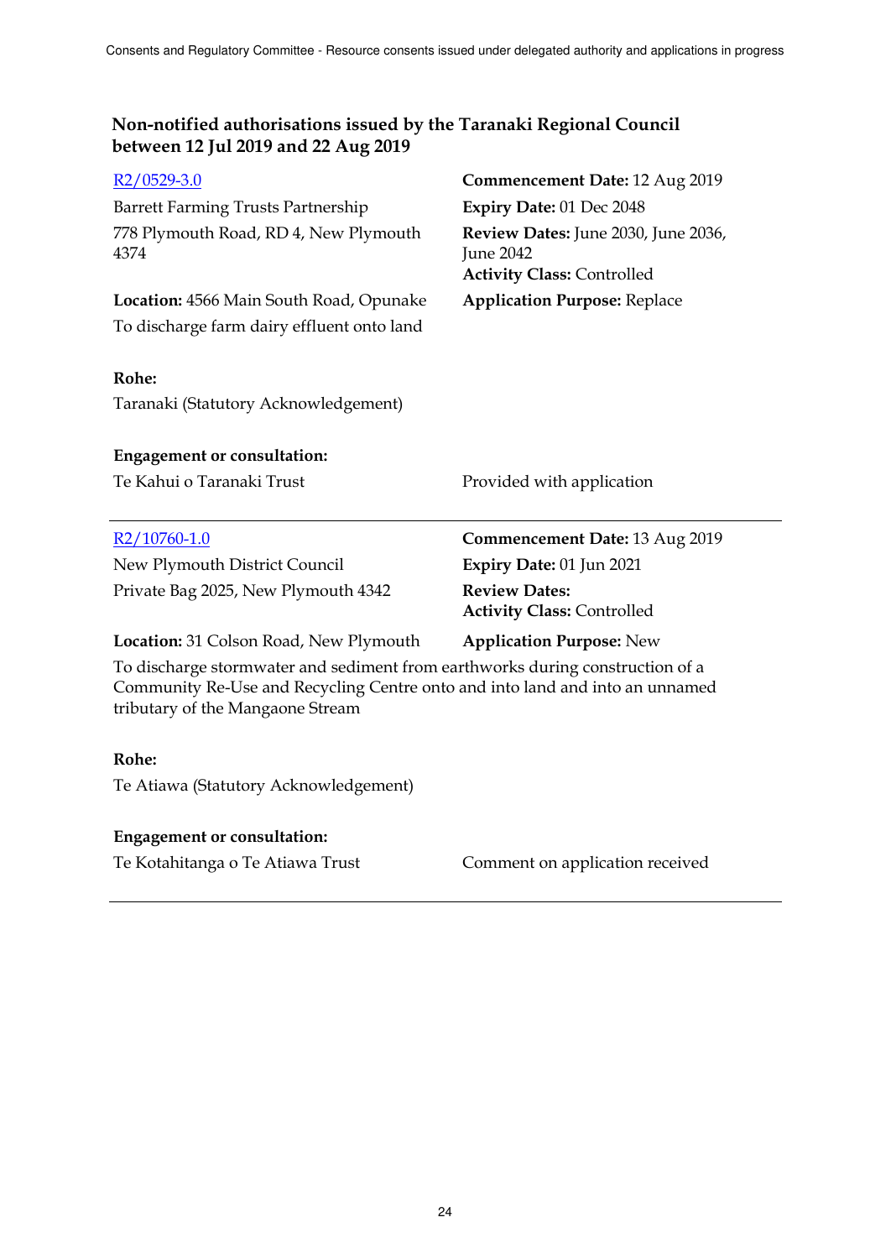| $R2/0529-3.0$                                                                                                                                                                                     | Commencement Date: 12 Aug 2019                                                        |  |  |
|---------------------------------------------------------------------------------------------------------------------------------------------------------------------------------------------------|---------------------------------------------------------------------------------------|--|--|
| Barrett Farming Trusts Partnership                                                                                                                                                                | Expiry Date: 01 Dec 2048                                                              |  |  |
| 778 Plymouth Road, RD 4, New Plymouth<br>4374                                                                                                                                                     | Review Dates: June 2030, June 2036,<br>June 2042<br><b>Activity Class: Controlled</b> |  |  |
| Location: 4566 Main South Road, Opunake                                                                                                                                                           | <b>Application Purpose: Replace</b>                                                   |  |  |
| To discharge farm dairy effluent onto land                                                                                                                                                        |                                                                                       |  |  |
| Rohe:                                                                                                                                                                                             |                                                                                       |  |  |
| Taranaki (Statutory Acknowledgement)                                                                                                                                                              |                                                                                       |  |  |
| <b>Engagement or consultation:</b>                                                                                                                                                                |                                                                                       |  |  |
| Te Kahui o Taranaki Trust                                                                                                                                                                         | Provided with application                                                             |  |  |
| $R2/10760-1.0$                                                                                                                                                                                    | <b>Commencement Date: 13 Aug 2019</b>                                                 |  |  |
| New Plymouth District Council                                                                                                                                                                     | Expiry Date: 01 Jun 2021                                                              |  |  |
| Private Bag 2025, New Plymouth 4342                                                                                                                                                               | <b>Review Dates:</b><br><b>Activity Class: Controlled</b>                             |  |  |
| Location: 31 Colson Road, New Plymouth                                                                                                                                                            | <b>Application Purpose: New</b>                                                       |  |  |
| To discharge stormwater and sediment from earthworks during construction of a<br>Community Re-Use and Recycling Centre onto and into land and into an unnamed<br>tributary of the Mangaone Stream |                                                                                       |  |  |
| Rohe:                                                                                                                                                                                             |                                                                                       |  |  |
| Te Atiawa (Statutory Acknowledgement)                                                                                                                                                             |                                                                                       |  |  |

## **Engagement or consultation:**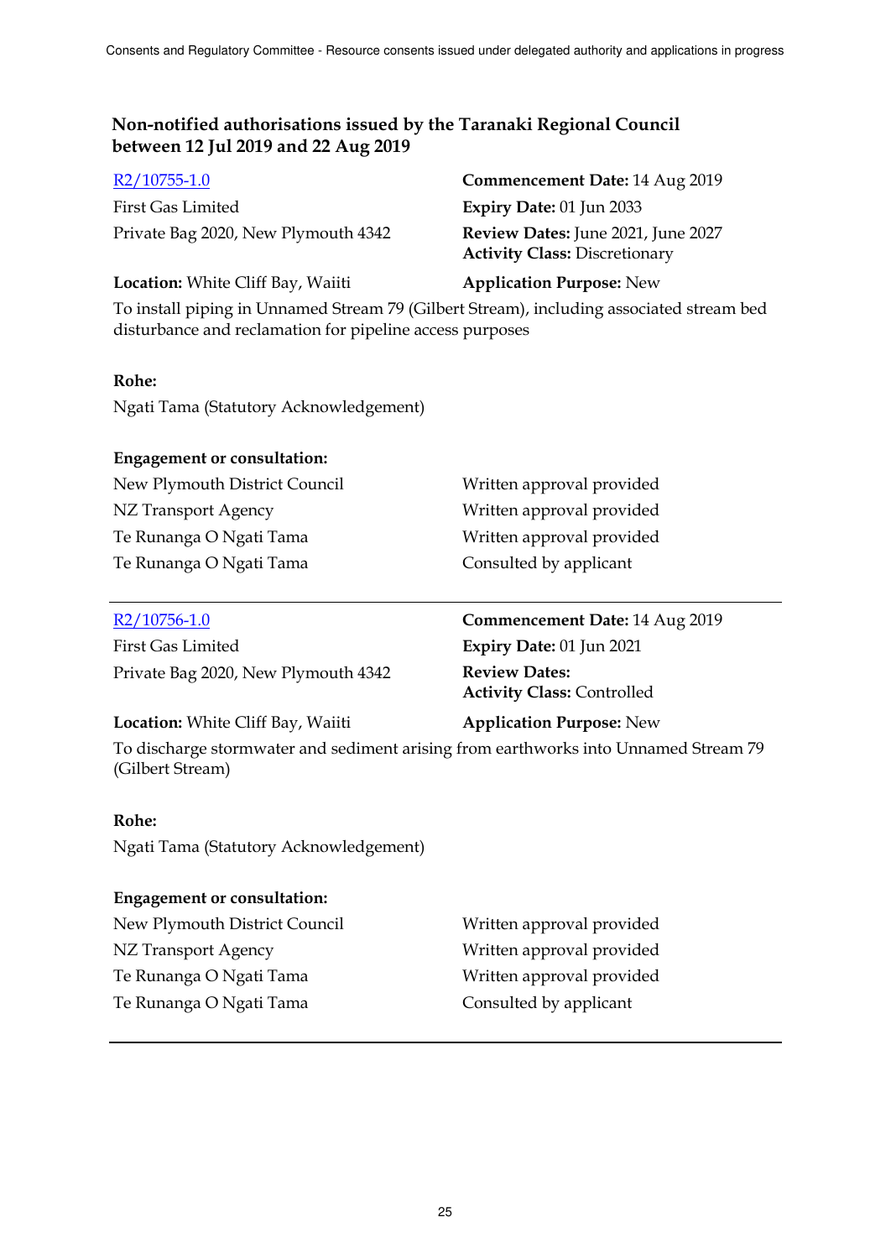| $R2/10755-1.0$                      | Commencement Date: 14 Aug 2019            |
|-------------------------------------|-------------------------------------------|
| First Gas Limited                   | Expiry Date: $01$ Jun 2033                |
| Private Bag 2020, New Plymouth 4342 | <b>Review Dates:</b> June 2021, June 2027 |
|                                     | <b>Activity Class: Discretionary</b>      |

**Discretionary** 

**Location:** White Cliff Bay, Waiiti **Application Purpose:** New

To install piping in Unnamed Stream 79 (Gilbert Stream), including associated stream bed disturbance and reclamation for pipeline access purposes

## **Rohe:**

Ngati Tama (Statutory Acknowledgement)

## **Engagement or consultation:**

New Plymouth District Council Written approval provided NZ Transport Agency Written approval provided Te Runanga O Ngati Tama Written approval provided Te Runanga O Ngati Tama Consulted by applicant

First Gas Limited **Expiry Date:** 01 Jun 2021 Private Bag 2020, New Plymouth 4342 **Review Dates:**

R2/10756-1.0 **Commencement Date:** 14 Aug 2019 **Activity Class:** Controlled

## **Location:** White Cliff Bay, Waiiti **Application Purpose:** New

To discharge stormwater and sediment arising from earthworks into Unnamed Stream 79 (Gilbert Stream)

## **Rohe:**

Ngati Tama (Statutory Acknowledgement)

## **Engagement or consultation:**

New Plymouth District Council Written approval provided NZ Transport Agency Written approval provided Te Runanga O Ngati Tama Written approval provided Te Runanga O Ngati Tama Consulted by applicant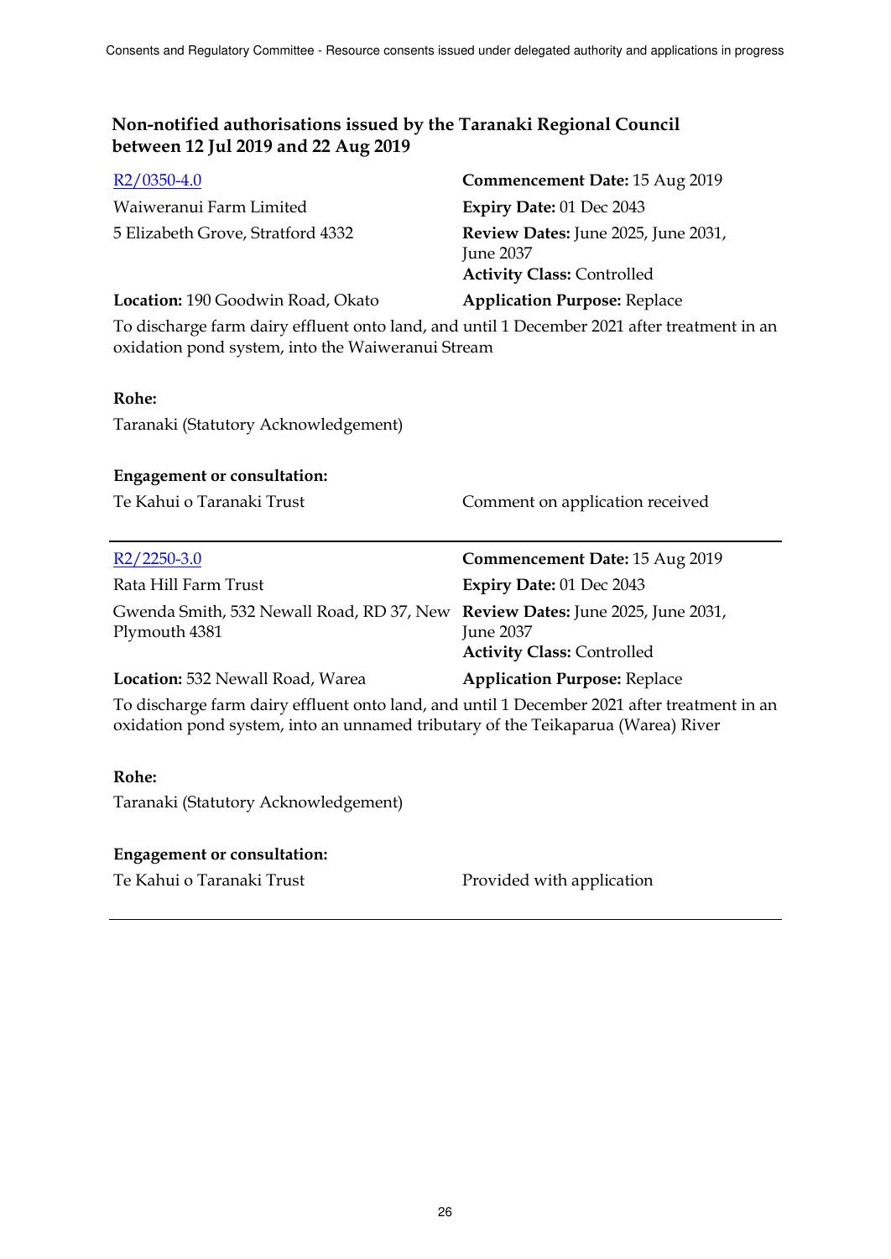| $R2/0350-4.0$                     | Commencement Date: 15 Aug 2019                                                                      |
|-----------------------------------|-----------------------------------------------------------------------------------------------------|
| Waiweranui Farm Limited           | <b>Expiry Date: 01 Dec 2043</b>                                                                     |
| 5 Elizabeth Grove, Stratford 4332 | <b>Review Dates:</b> June 2025, June 2031,<br><b>June 2037</b><br><b>Activity Class: Controlled</b> |
| Location: 190 Goodwin Road, Okato | <b>Application Purpose: Replace</b>                                                                 |

To discharge farm dairy effluent onto land, and until 1 December 2021 after treatment in an oxidation pond system, into the Waiweranui Stream

## **Rohe:**

Taranaki (Statutory Acknowledgement)

#### **Engagement or consultation:**

Te Kahui o Taranaki Trust Comment on application received

| $R2/2250-3.0$                                                                                  | Commencement Date: 15 Aug 2019                        |
|------------------------------------------------------------------------------------------------|-------------------------------------------------------|
| Rata Hill Farm Trust                                                                           | <b>Expiry Date: 01 Dec 2043</b>                       |
| Gwenda Smith, 532 Newall Road, RD 37, New Review Dates: June 2025, June 2031,<br>Plymouth 4381 | <b>June 2037</b><br><b>Activity Class: Controlled</b> |
| Location: 532 Newall Road, Warea                                                               | <b>Application Purpose: Replace</b>                   |

To discharge farm dairy effluent onto land, and until 1 December 2021 after treatment in an oxidation pond system, into an unnamed tributary of the Teikaparua (Warea) River

## **Rohe:**

Taranaki (Statutory Acknowledgement)

## **Engagement or consultation:**

Te Kahui o Taranaki Trust Provided with application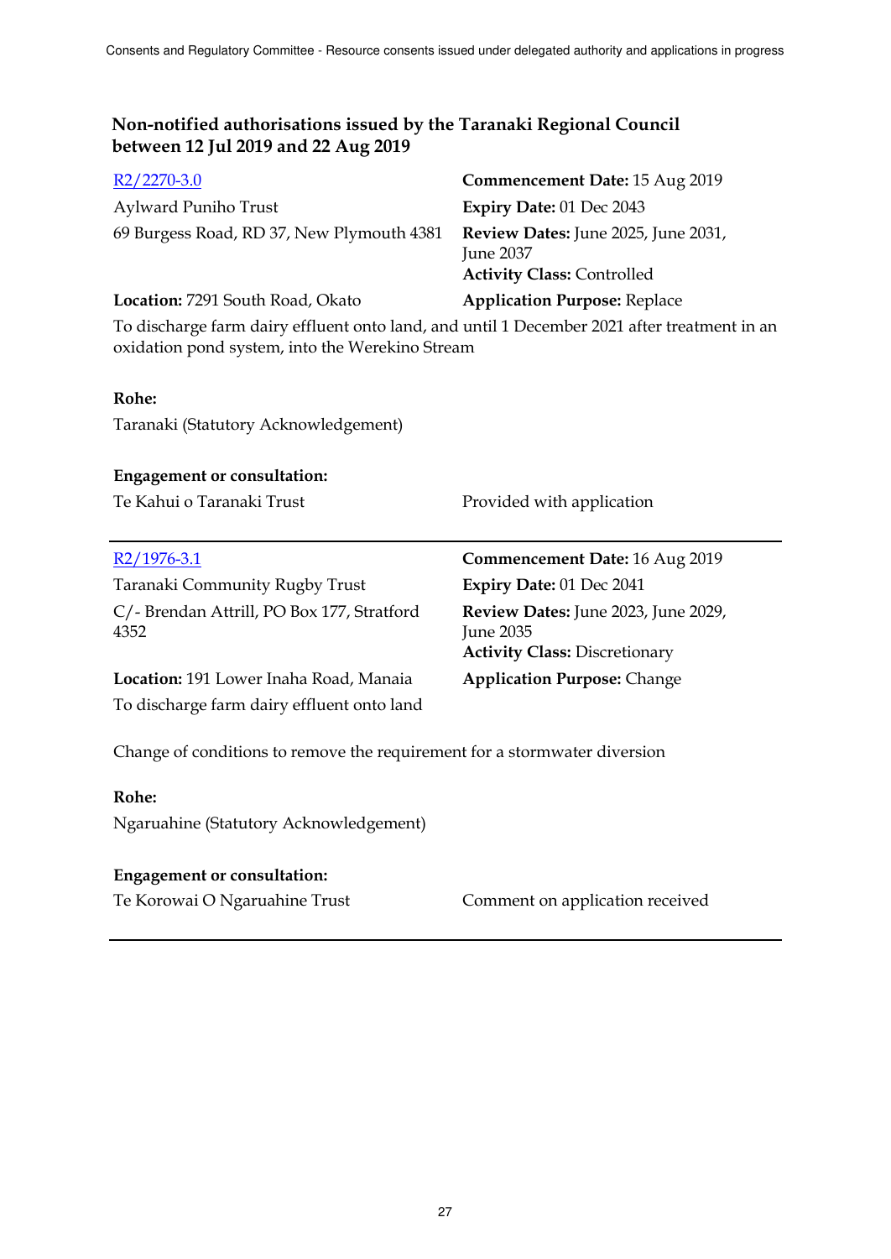| $R2/2270-3.0$                             | Commencement Date: 15 Aug 2019                                                        |
|-------------------------------------------|---------------------------------------------------------------------------------------|
| <b>Aylward Puniho Trust</b>               | Expiry Date: 01 Dec 2043                                                              |
| 69 Burgess Road, RD 37, New Plymouth 4381 | Review Dates: June 2025, June 2031,<br>June 2037<br><b>Activity Class: Controlled</b> |
| Location: 7291 South Road, Okato          | <b>Application Purpose: Replace</b>                                                   |
|                                           |                                                                                       |

To discharge farm dairy effluent onto land, and until 1 December 2021 after treatment in an oxidation pond system, into the Werekino Stream

## **Rohe:**

Taranaki (Statutory Acknowledgement)

## **Engagement or consultation:**

|  | Te Kahui o Taranaki Trust |  |
|--|---------------------------|--|
|  |                           |  |

| $R2/1976-3.1$                                      | Commencement Date: 16 Aug 2019                                                           |
|----------------------------------------------------|------------------------------------------------------------------------------------------|
| Taranaki Community Rugby Trust                     | Expiry Date: 01 Dec 2041                                                                 |
| C/- Brendan Attrill, PO Box 177, Stratford<br>4352 | Review Dates: June 2023, June 2029,<br>June 2035<br><b>Activity Class: Discretionary</b> |
| Location: 191 Lower Inaha Road, Manaia             | <b>Application Purpose: Change</b>                                                       |
| To discharge farm dairy effluent onto land         |                                                                                          |

Change of conditions to remove the requirement for a stormwater diversion

## **Rohe:**

Ngaruahine (Statutory Acknowledgement)

## **Engagement or consultation:**

Igaruahine Trust **Comment on application received** 

Provided with application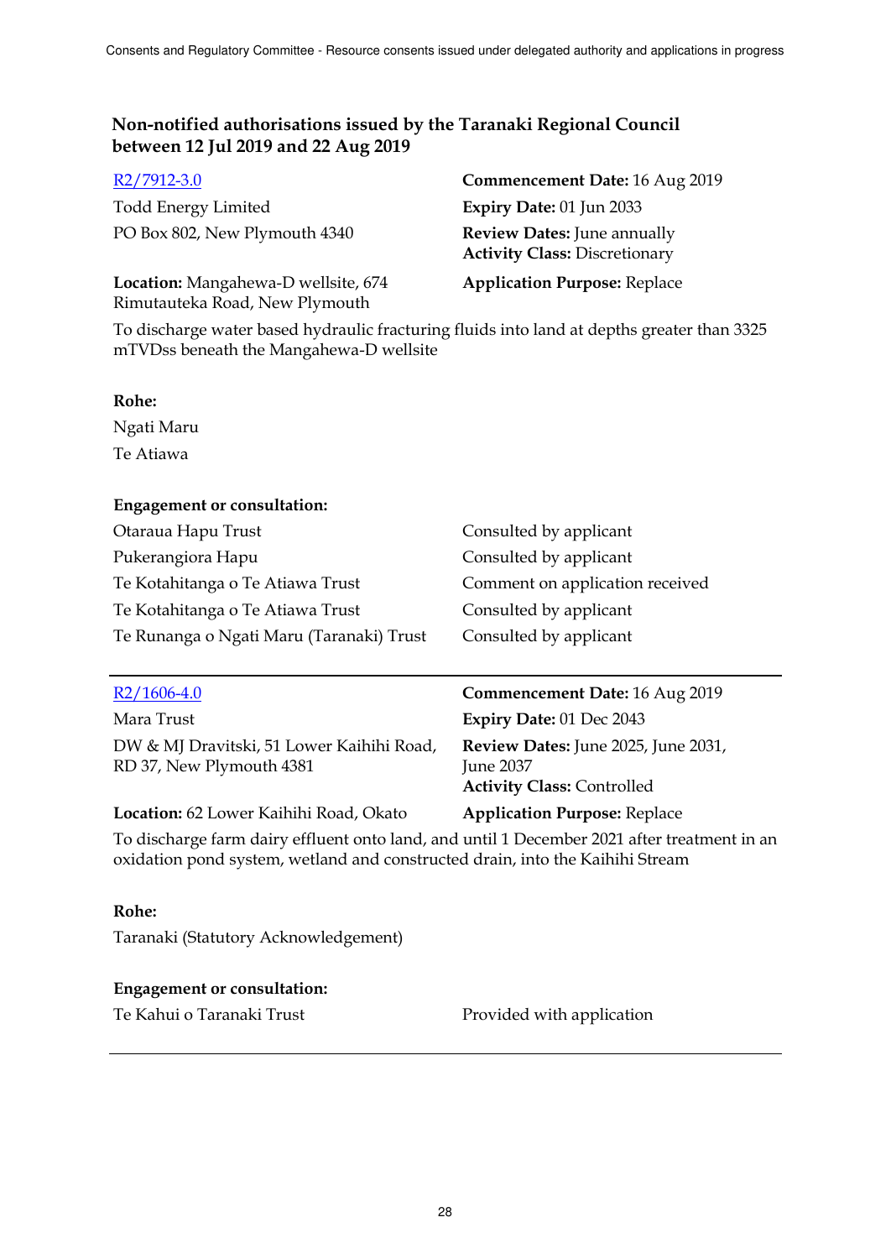| R2/7912-3.0                                                           | Commencement Date: 16 Aug 2019                                             |
|-----------------------------------------------------------------------|----------------------------------------------------------------------------|
| <b>Todd Energy Limited</b>                                            | Expiry Date: 01 Jun 2033                                                   |
| PO Box 802, New Plymouth 4340                                         | <b>Review Dates:</b> June annually<br><b>Activity Class: Discretionary</b> |
| Location: Mangahewa-D wellsite, 674<br>Rimutauteka Road, New Plymouth | <b>Application Purpose: Replace</b>                                        |

To discharge water based hydraulic fracturing fluids into land at depths greater than 3325 mTVDss beneath the Mangahewa-D wellsite

#### **Rohe:**

Ngati Maru Te Atiawa

## **Engagement or consultation:**

| Otaraua Hapu Trust                       | Consulted by applicant          |
|------------------------------------------|---------------------------------|
| Pukerangiora Hapu                        | Consulted by applicant          |
| Te Kotahitanga o Te Atiawa Trust         | Comment on application received |
| Te Kotahitanga o Te Atiawa Trust         | Consulted by applicant          |
| Te Runanga o Ngati Maru (Taranaki) Trust | Consulted by applicant          |

Mara Trust **Expiry Date:** 01 Dec 2043 DW & MJ Dravitski, 51 Lower Kaihihi Road, RD 37, New Plymouth 4381

**Location:** 62 Lower Kaihihi Road, Okato **Application Purpose:** Replace

R2/1606-4.0 **Commencement Date:** 16 Aug 2019

**Review Dates:** June 2025, June 2031, June 2037 **Activity Class:** Controlled

To discharge farm dairy effluent onto land, and until 1 December 2021 after treatment in an oxidation pond system, wetland and constructed drain, into the Kaihihi Stream

## **Rohe:**

Taranaki (Statutory Acknowledgement)

## **Engagement or consultation:**

Te Kahui o Taranaki Trust **Provided with application**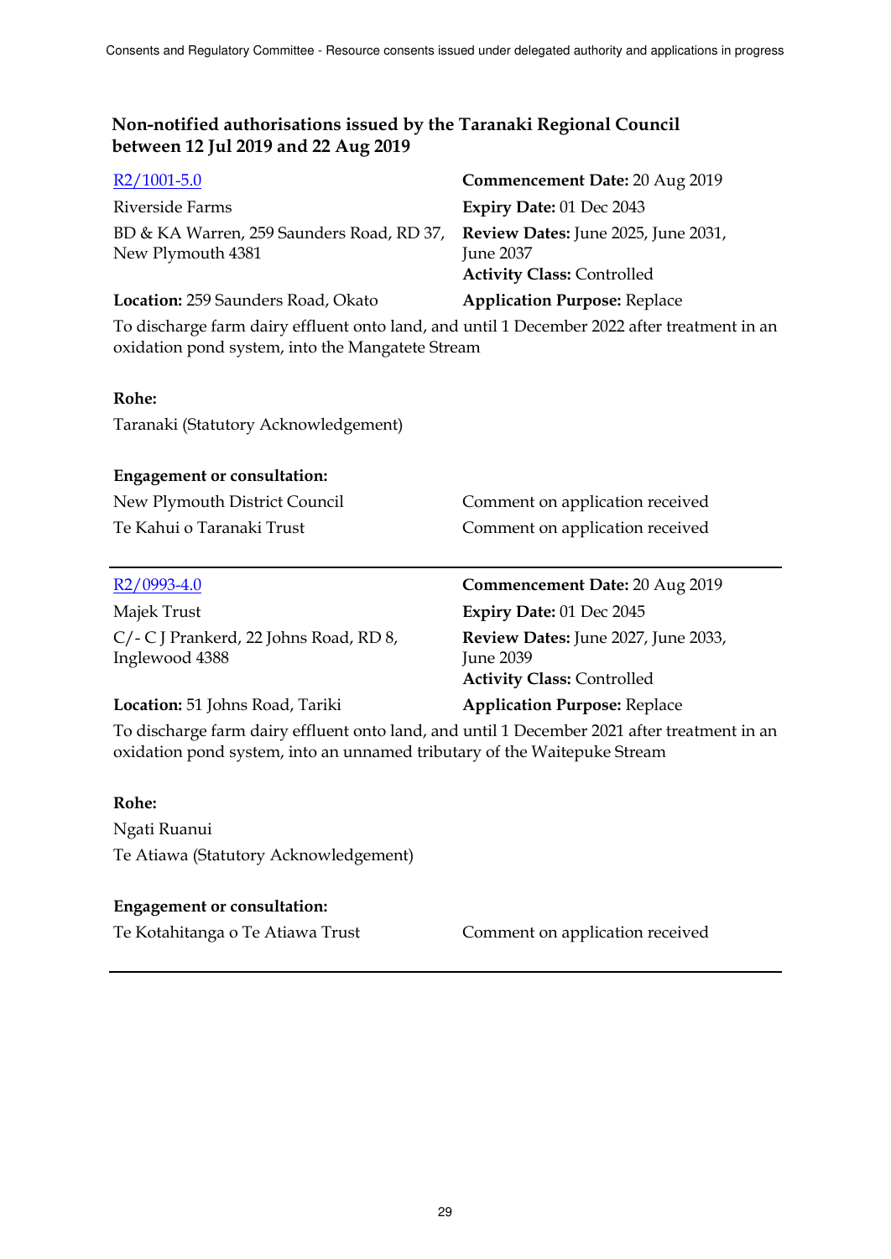| $R2/1001-5.0$                                                                                      | Commencement Date: 20 Aug 2019                        |
|----------------------------------------------------------------------------------------------------|-------------------------------------------------------|
| Riverside Farms                                                                                    | Expiry Date: 01 Dec 2043                              |
| BD & KA Warren, 259 Saunders Road, RD 37, Review Dates: June 2025, June 2031,<br>New Plymouth 4381 | <b>June 2037</b><br><b>Activity Class: Controlled</b> |
| Location: 259 Saunders Road, Okato                                                                 | <b>Application Purpose: Replace</b>                   |

To discharge farm dairy effluent onto land, and until 1 December 2022 after treatment in an oxidation pond system, into the Mangatete Stream

## **Rohe:**

Taranaki (Statutory Acknowledgement)

#### **Engagement or consultation:**

| New Plymouth District Council | Comment on application received |
|-------------------------------|---------------------------------|
| Te Kahui o Taranaki Trust     | Comment on application received |

| R <sub>2</sub> /0993-4.0 |  |
|--------------------------|--|
|                          |  |

Majek Trust **Expiry Date:** 01 Dec 2045 C/- C J Prankerd, 22 Johns Road, RD 8, Inglewood 4388

## **Review Dates:** June 2027, June 2033, June 2039 **Activity Class:** Controlled

**Commencement Date:** 20 Aug 2019

## **Location:** 51 Johns Road, Tariki **Application Purpose:** Replace

To discharge farm dairy effluent onto land, and until 1 December 2021 after treatment in an oxidation pond system, into an unnamed tributary of the Waitepuke Stream

## **Rohe:**

Ngati Ruanui Te Atiawa (Statutory Acknowledgement)

## **Engagement or consultation:**